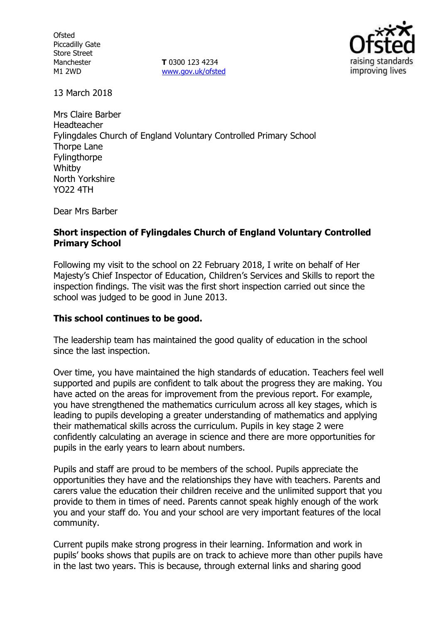**Ofsted** Piccadilly Gate Store Street Manchester M1 2WD

**T** 0300 123 4234 www.gov.uk/ofsted



13 March 2018

Mrs Claire Barber Headteacher Fylingdales Church of England Voluntary Controlled Primary School Thorpe Lane Fylingthorpe **Whitby** North Yorkshire YO22 4TH

Dear Mrs Barber

## **Short inspection of Fylingdales Church of England Voluntary Controlled Primary School**

Following my visit to the school on 22 February 2018, I write on behalf of Her Majesty's Chief Inspector of Education, Children's Services and Skills to report the inspection findings. The visit was the first short inspection carried out since the school was judged to be good in June 2013.

## **This school continues to be good.**

The leadership team has maintained the good quality of education in the school since the last inspection.

Over time, you have maintained the high standards of education. Teachers feel well supported and pupils are confident to talk about the progress they are making. You have acted on the areas for improvement from the previous report. For example, you have strengthened the mathematics curriculum across all key stages, which is leading to pupils developing a greater understanding of mathematics and applying their mathematical skills across the curriculum. Pupils in key stage 2 were confidently calculating an average in science and there are more opportunities for pupils in the early years to learn about numbers.

Pupils and staff are proud to be members of the school. Pupils appreciate the opportunities they have and the relationships they have with teachers. Parents and carers value the education their children receive and the unlimited support that you provide to them in times of need. Parents cannot speak highly enough of the work you and your staff do. You and your school are very important features of the local community.

Current pupils make strong progress in their learning. Information and work in pupils' books shows that pupils are on track to achieve more than other pupils have in the last two years. This is because, through external links and sharing good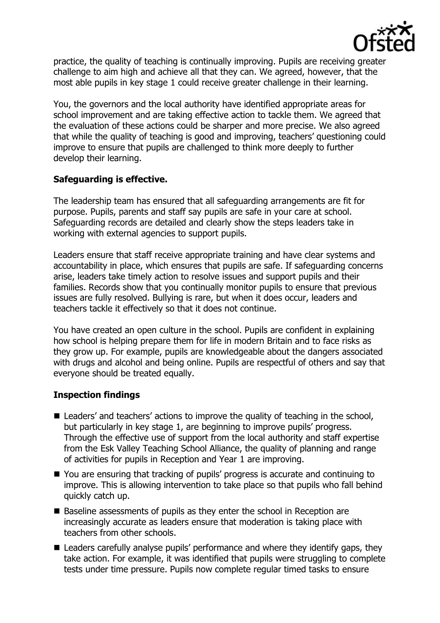

practice, the quality of teaching is continually improving. Pupils are receiving greater challenge to aim high and achieve all that they can. We agreed, however, that the most able pupils in key stage 1 could receive greater challenge in their learning.

You, the governors and the local authority have identified appropriate areas for school improvement and are taking effective action to tackle them. We agreed that the evaluation of these actions could be sharper and more precise. We also agreed that while the quality of teaching is good and improving, teachers' questioning could improve to ensure that pupils are challenged to think more deeply to further develop their learning.

## **Safeguarding is effective.**

The leadership team has ensured that all safeguarding arrangements are fit for purpose. Pupils, parents and staff say pupils are safe in your care at school. Safeguarding records are detailed and clearly show the steps leaders take in working with external agencies to support pupils.

Leaders ensure that staff receive appropriate training and have clear systems and accountability in place, which ensures that pupils are safe. If safeguarding concerns arise, leaders take timely action to resolve issues and support pupils and their families. Records show that you continually monitor pupils to ensure that previous issues are fully resolved. Bullying is rare, but when it does occur, leaders and teachers tackle it effectively so that it does not continue.

You have created an open culture in the school. Pupils are confident in explaining how school is helping prepare them for life in modern Britain and to face risks as they grow up. For example, pupils are knowledgeable about the dangers associated with drugs and alcohol and being online. Pupils are respectful of others and say that everyone should be treated equally.

# **Inspection findings**

- Leaders' and teachers' actions to improve the quality of teaching in the school, but particularly in key stage 1, are beginning to improve pupils' progress. Through the effective use of support from the local authority and staff expertise from the Esk Valley Teaching School Alliance, the quality of planning and range of activities for pupils in Reception and Year 1 are improving.
- You are ensuring that tracking of pupils' progress is accurate and continuing to improve. This is allowing intervention to take place so that pupils who fall behind quickly catch up.
- Baseline assessments of pupils as they enter the school in Reception are increasingly accurate as leaders ensure that moderation is taking place with teachers from other schools.
- Leaders carefully analyse pupils' performance and where they identify gaps, they take action. For example, it was identified that pupils were struggling to complete tests under time pressure. Pupils now complete regular timed tasks to ensure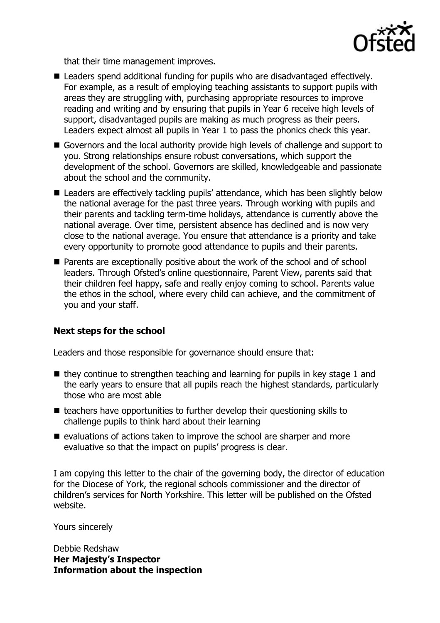

that their time management improves.

- Leaders spend additional funding for pupils who are disadvantaged effectively. For example, as a result of employing teaching assistants to support pupils with areas they are struggling with, purchasing appropriate resources to improve reading and writing and by ensuring that pupils in Year 6 receive high levels of support, disadvantaged pupils are making as much progress as their peers. Leaders expect almost all pupils in Year 1 to pass the phonics check this year.
- Governors and the local authority provide high levels of challenge and support to you. Strong relationships ensure robust conversations, which support the development of the school. Governors are skilled, knowledgeable and passionate about the school and the community.
- Leaders are effectively tackling pupils' attendance, which has been slightly below the national average for the past three years. Through working with pupils and their parents and tackling term-time holidays, attendance is currently above the national average. Over time, persistent absence has declined and is now very close to the national average. You ensure that attendance is a priority and take every opportunity to promote good attendance to pupils and their parents.
- Parents are exceptionally positive about the work of the school and of school leaders. Through Ofsted's online questionnaire, Parent View, parents said that their children feel happy, safe and really enjoy coming to school. Parents value the ethos in the school, where every child can achieve, and the commitment of you and your staff.

# **Next steps for the school**

Leaders and those responsible for governance should ensure that:

- $\blacksquare$  they continue to strengthen teaching and learning for pupils in key stage 1 and the early years to ensure that all pupils reach the highest standards, particularly those who are most able
- $\blacksquare$  teachers have opportunities to further develop their questioning skills to challenge pupils to think hard about their learning
- $\blacksquare$  evaluations of actions taken to improve the school are sharper and more evaluative so that the impact on pupils' progress is clear.

I am copying this letter to the chair of the governing body, the director of education for the Diocese of York, the regional schools commissioner and the director of children's services for North Yorkshire. This letter will be published on the Ofsted website.

Yours sincerely

Debbie Redshaw **Her Majesty's Inspector Information about the inspection**